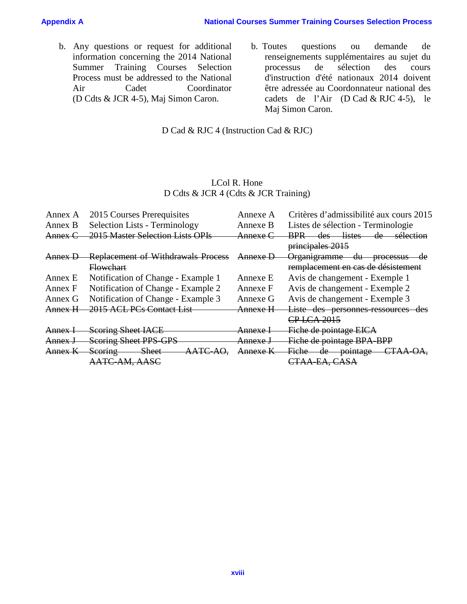### **Appendix A A National Courses Summer Training Courses Selection Process**

- b. Any questions or request for additional information concerning the 2014 National Summer Training Courses Selection Process must be addressed to the National Air Cadet Coordinator (D Cdts & JCR 4-5), Maj Simon Caron.
- b. Toutes questions ou demande de renseignements supplémentaires au sujet du processus de sélection des cours d'instruction d'été nationaux 2014 doivent être adressée au Coordonnateur national des cadets de l'Air (D Cad & RJC 4-5), le Maj Simon Caron.

# D Cad & RJC 4 (Instruction Cad & RJC)

# LCol R. Hone D Cdts & JCR 4 (Cdts & JCR Training)

| Annex A | 2015 Courses Prerequisites                | Annexe A            | Critères d'admissibilité aux cours 2015                          |
|---------|-------------------------------------------|---------------------|------------------------------------------------------------------|
| Annex B | <b>Selection Lists - Terminology</b>      | Annexe B            | Listes de sélection - Terminologie                               |
| Annex C | 2015 Master Selection Lists OPIs          | Annexe C            | <del>listes</del><br>$\frac{des}{es}$<br><b>BPR</b><br>sélection |
|         |                                           |                     | principales 2015                                                 |
| Annex D | <b>Replacement of Withdrawals Process</b> | Annexe E            | <del>Organigramme</del><br><b>processus</b><br>du                |
|         | <b>Flowchart</b>                          |                     | remplacement en cas de désistement                               |
| Annex E | Notification of Change - Example 1        | Annexe E            | Avis de changement - Exemple 1                                   |
| Annex F | Notification of Change - Example 2        | Annexe F            | Avis de changement - Exemple 2                                   |
| Annex G | Notification of Change - Example 3        | Annexe G            | Avis de changement - Exemple 3                                   |
| Annex H | 2015 ACL PCs Contact List                 | <del>Annexe H</del> | Liste des personnes-ressources des                               |
|         |                                           |                     | CP LCA 2015                                                      |
| Annex-  | <b>Scoring Sheet IACE</b>                 | <del>Annexe I</del> | Fiche de pointage EICA                                           |
| Annex J | <b>Scoring Sheet PPS-GPS</b>              | <del>Annexe J</del> | Fiche de pointage BPA-BPP                                        |
| Annex K | <b>Sheet</b><br>Scoring                   | Annexe K            | <del>Fiche</del><br><del>pointage</del><br>de                    |
|         | AATC-AM, AASC                             |                     | CTAA-EA, CASA                                                    |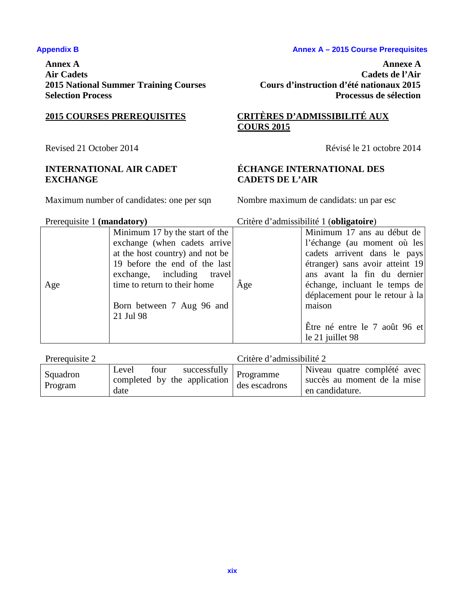**Annex A Annexe A** 

# **INTERNATIONAL AIR CADET EXCHANGE**

Maximum number of candidates: one per sqn Nombre maximum de candidats: un par esc

### Appendix B **Annex A – 2015 Course Prerequisites**

**Air Cadets Cadets de l'Air 2015 National Summer Training Courses Cours d'instruction d'été nationaux 2015 Selection Process Processus de sélection**

# **2015 COURSES PREREQUISITES CRITÈRES D'ADMISSIBILITÉ AUX COURS 2015**

Revised 21 October 2014 Révisé le 21 octobre 2014

# **ÉCHANGE INTERNATIONAL DES CADETS DE L'AIR**

# Prerequisite 1 **(mandatory)** Critère d'admissibilité 1 (**obligatoire**)

| $11010$ quibric 1 ( <b>Intentation</b> $\gamma$ ) |                                 |     | $C$ <i>ritere a administrative a (obligation c)</i> |
|---------------------------------------------------|---------------------------------|-----|-----------------------------------------------------|
|                                                   | Minimum 17 by the start of the  |     | Minimum 17 ans au début de                          |
|                                                   | exchange (when cadets arrive)   |     | l'échange (au moment où les                         |
|                                                   | at the host country) and not be |     | cadets arrivent dans le pays                        |
|                                                   | 19 before the end of the last   |     | étranger) sans avoir atteint 19                     |
|                                                   | exchange, including travel      |     | ans avant la fin du dernier                         |
| Age                                               | time to return to their home    | Age | échange, incluant le temps de                       |
|                                                   |                                 |     | déplacement pour le retour à la                     |
|                                                   | Born between 7 Aug 96 and       |     | maison                                              |
|                                                   | 21 Jul 98                       |     |                                                     |
|                                                   |                                 |     | Être né entre le 7 août 96 et                       |
|                                                   |                                 |     | le 21 juillet 98                                    |

| Prerequisite 2      |                                                                                              | Critère d'admissibilité 2 |                                                                               |
|---------------------|----------------------------------------------------------------------------------------------|---------------------------|-------------------------------------------------------------------------------|
| Squadron<br>Program | $\frac{1}{2}$ successfully   Programme<br>Level four<br>completed by the application<br>date | des escadrons             | Niveau quatre complété avec<br>succès au moment de la mise<br>en candidature. |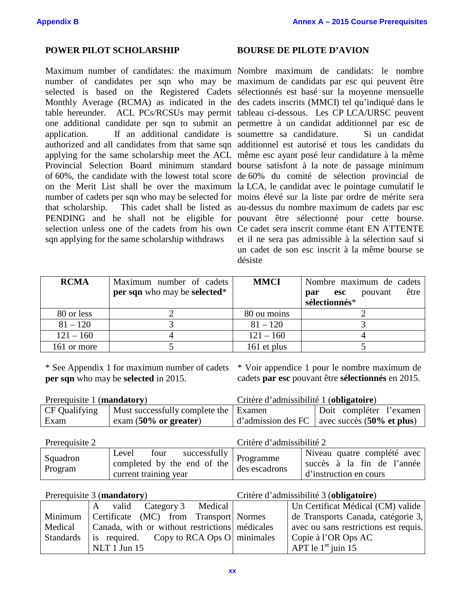## **POWER PILOT SCHOLARSHIP BOURSE DE PILOTE D'AVION**

Maximum number of candidates: the maximum Nombre maximum de candidats: le nombre number of candidates per sqn who may be maximum de candidats par esc qui peuvent être selected is based on the Registered Cadets sélectionnés est basé sur la moyenne mensuelle Monthly Average (RCMA) as indicated in the des cadets inscrits (MMCI) tel qu'indiqué dans le table hereunder. ACL PCs/RCSUs may permit tableau ci-dessous. Les CP LCA/URSC peuvent one additional candidate per sqn to submit an permettre à un candidat additionnel par esc de application. If an additional candidate is soumettre sa candidature. Si un candidat authorized and all candidates from that same sqn additionnel est autorisé et tous les candidats du applying for the same scholarship meet the ACL même esc ayant posé leur candidature à la même Provincial Selection Board minimum standard bourse satisfont à la note de passage minimum of 60%, the candidate with the lowest total score de 60% du comité de sélection provincial de on the Merit List shall be over the maximum la LCA, le candidat avec le pointage cumulatif le number of cadets per sqn who may be selected for moins élevé sur la liste par ordre de mérite sera that scholarship. This cadet shall be listed as au-dessus du nombre maximum de cadets par esc PENDING and he shall not be eligible for pouvant être sélectionné pour cette bourse. selection unless one of the cadets from his own Ce cadet sera inscrit comme étant EN ATTENTE sqn applying for the same scholarship withdraws

et il ne sera pas admissible à la sélection sauf si un cadet de son esc inscrit à la même bourse se désiste

| <b>RCMA</b> | Maximum number of cadets<br>per sqn who may be selected* | <b>MMCI</b> | Nombre maximum de cadets<br>être<br>pouvant<br>esc<br>par<br>sélectionnés* |
|-------------|----------------------------------------------------------|-------------|----------------------------------------------------------------------------|
| 80 or less  |                                                          | 80 ou moins |                                                                            |
| $81 - 120$  |                                                          | $81 - 120$  |                                                                            |
| $121 - 160$ |                                                          | $121 - 160$ |                                                                            |
| 161 or more |                                                          | 161 et plus |                                                                            |

**per sqn** who may be **selected** in 2015.

\* See Appendix 1 for maximum number of cadets \* Voir appendice 1 pour le nombre maximum de cadets **par esc** pouvant être **sélectionnés** en 2015.

| Prerequisite 1 (mandatory) |                                         | Critère d'admissibilité 1 (obligatoire) |                                                              |
|----------------------------|-----------------------------------------|-----------------------------------------|--------------------------------------------------------------|
| <b>CF Qualifying</b>       | Must successfully complete the   Examen |                                         | Doit compléter l'examen                                      |
| Exam                       | $exam(50\% or greater)$                 |                                         | $\vert$ d'admission des FC $\vert$ avec succès (50% et plus) |

| Prerequisite 2      | Critère d'admissibilité 2                                                                      |               |                                                                                     |
|---------------------|------------------------------------------------------------------------------------------------|---------------|-------------------------------------------------------------------------------------|
| Squadron<br>Program | Level four successfully<br>completed by the end of the dag assessment<br>current training year | des escadrons | Niveau quatre complété avec<br>succès à la fin de l'année<br>d'instruction en cours |

Prerequisite 3 (**mandatory**) Critère d'admissibilité 3 (**obligatoire**)

|                  | valid Category 3 Medical                         | Un Certificat Médical (CM) valide     |
|------------------|--------------------------------------------------|---------------------------------------|
| Minimum          | Certificate (MC) from Transport Normes           | de Transports Canada, catégorie 3,    |
| Medical          | Canada, with or without restrictions médicales   | avec ou sans restrictions est requis. |
| <b>Standards</b> | $\vert$ is required. Copy to RCA Ops O minimales | Copie à l'OR Ops AC                   |
|                  | $NLT$ 1 Jun 15                                   | APT le $1er$ juin 15                  |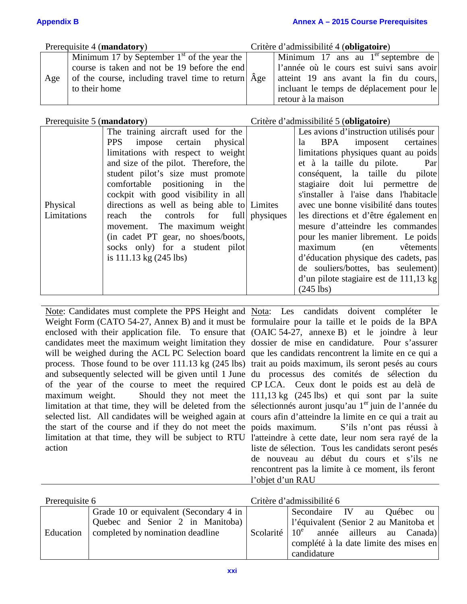Prerequisite 4 (**mandatory**) Critère d'admissibilité 4 (**obligatoire**)

|     | Minimum 17 by September $1st$ of the year the              | Minimum 17 ans au $1er$ septembre de     |
|-----|------------------------------------------------------------|------------------------------------------|
|     | course is taken and not be 19 before the end               | l'année où le cours est suivi sans avoir |
| Age | of the course, including travel time to return $\Delta$ ge | atteint 19 ans avant la fin du cours,    |
|     | to their home                                              | incluant le temps de déplacement pour le |
|     |                                                            | retour à la maison                       |

# Prerequisite 5 (**mandatory**) Critère d'admissibilité 5 (**obligatoire**)

rencontrent pas la limite à ce moment, ils feront

|             | The training aircraft used for the          | Les avions d'instruction utilisés pour |
|-------------|---------------------------------------------|----------------------------------------|
|             | PPS impose certain physical                 | la BPA imposent certaines              |
|             | limitations with respect to weight          | limitations physiques quant au poids   |
|             | and size of the pilot. Therefore, the       | et à la taille du pilote. Par          |
|             | student pilot's size must promote           | conséquent, la taille du pilote        |
|             | comfortable positioning in the              | stagiaire doit lui permettre de        |
|             | cockpit with good visibility in all         | s'installer à l'aise dans l'habitacle  |
| Physical    | directions as well as being able to Limites | avec une bonne visibilité dans toutes  |
| Limitations | reach the controls for full physiques       | les directions et d'être également en  |
|             | movement. The maximum weight                | mesure d'atteindre les commandes       |
|             | (in cadet PT gear, no shoes/boots,          | pour les manier librement. Le poids    |
|             | socks only) for a student pilot             | vêtements<br>maximum<br>(en            |
|             | is $111.13 \text{ kg} (245 \text{ lbs})$    | d'éducation physique des cadets, pas   |
|             |                                             | de souliers/bottes, bas seulement)     |
|             |                                             | d'un pilote stagiaire est de 111,13 kg |
|             |                                             | $(245$ lbs)                            |

Note: Candidates must complete the PPS Height and Nota: Les candidats doivent compléter le Weight Form (CATO 54-27, Annex B) and it must be formulaire pour la taille et le poids de la BPA enclosed with their application file. To ensure that (OAIC 54-27, annexe B) et le joindre à leur candidates meet the maximum weight limitation they dossier de mise en candidature. Pour s'assurer will be weighed during the ACL PC Selection board que les candidats rencontrent la limite en ce qui a process. Those found to be over 111.13 kg (245 lbs) trait au poids maximum, ils seront pesés au cours and subsequently selected will be given until 1 June du processus des comités de sélection du of the year of the course to meet the required CP LCA. Ceux dont le poids est au delà de maximum weight. Should they not meet the 111,13 kg (245 lbs) et qui sont par la suite limitation at that time, they will be deleted from the sélectionnés auront jusqu'au 1<sup>er</sup> juin de l'année du selected list. All candidates will be weighed again at cours afin d'atteindre la limite en ce qui a trait au the start of the course and if they do not meet the poids maximum. limitation at that time, they will be subject to RTU l'atteindre à cette date, leur nom sera rayé de la action S'ils n'ont pas réussi à liste de sélection. Tous les candidats seront pesés de nouveau au début du cours et s'ils ne

| Prerequisite 6 |                                                                                                                |                  | Critère d'admissibilité 6                                                                                                                                          |
|----------------|----------------------------------------------------------------------------------------------------------------|------------------|--------------------------------------------------------------------------------------------------------------------------------------------------------------------|
| Education      | Grade 10 or equivalent (Secondary 4 in<br>Quebec and Senior 2 in Manitoba)<br>completed by nomination deadline | Scolarité $10^e$ | Secondaire IV<br>Québec<br>au<br>ou<br>l'équivalent (Senior 2 au Manitoba et<br>année ailleurs au Canada)<br>complété à la date limite des mises en<br>candidature |

l'objet d'un RAU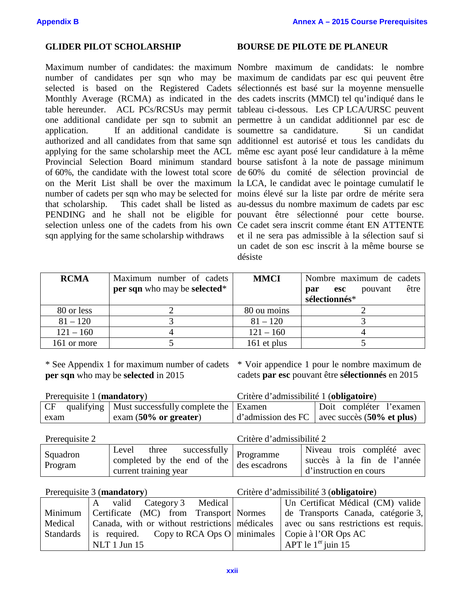Maximum number of candidates: the maximum Nombre maximum de candidats: le nombre number of candidates per sqn who may be maximum de candidats par esc qui peuvent être selected is based on the Registered Cadets sélectionnés est basé sur la moyenne mensuelle Monthly Average (RCMA) as indicated in the des cadets inscrits (MMCI) tel qu'indiqué dans le table hereunder. ACL PCs/RCSUs may permit tableau ci-dessous. Les CP LCA/URSC peuvent one additional candidate per sqn to submit an permettre à un candidat additionnel par esc de application. If an additional candidate is soumettre sa candidature. Si un candidat authorized and all candidates from that same sqn additionnel est autorisé et tous les candidats du applying for the same scholarship meet the ACL même esc ayant posé leur candidature à la même Provincial Selection Board minimum standard bourse satisfont à la note de passage minimum of 60%, the candidate with the lowest total score de 60% du comité de sélection provincial de on the Merit List shall be over the maximum la LCA, le candidat avec le pointage cumulatif le number of cadets per sqn who may be selected for moins élevé sur la liste par ordre de mérite sera that scholarship. This cadet shall be listed as au-dessus du nombre maximum de cadets par esc PENDING and he shall not be eligible for pouvant être sélectionné pour cette bourse. selection unless one of the cadets from his own Ce cadet sera inscrit comme étant EN ATTENTE sqn applying for the same scholarship withdraws

### **GLIDER PILOT SCHOLARSHIP BOURSE DE PILOTE DE PLANEUR**

et il ne sera pas admissible à la sélection sauf si un cadet de son esc inscrit à la même bourse se désiste

| <b>RCMA</b> | Maximum number of cadets<br>per sqn who may be selected* | <b>MMCI</b> | Nombre maximum de cadets<br>être<br>pouvant<br>esc<br>par<br>sélectionnés* |
|-------------|----------------------------------------------------------|-------------|----------------------------------------------------------------------------|
| 80 or less  |                                                          | 80 ou moins |                                                                            |
| $81 - 120$  |                                                          | $81 - 120$  |                                                                            |
| $121 - 160$ |                                                          | $121 - 160$ |                                                                            |
| 161 or more |                                                          | 161 et plus |                                                                            |

**per sqn** who may be **selected** in 2015

\* See Appendix 1 for maximum number of cadets \* Voir appendice 1 pour le nombre maximum de cadets **par esc** pouvant être **sélectionnés** en 2015

| Prerequisite 1 (mandatory) |                                                      | Critère d'admissibilité 1 (obligatoire) |                                                              |
|----------------------------|------------------------------------------------------|-----------------------------------------|--------------------------------------------------------------|
| CF                         | qualifying   Must successfully complete the   Examen |                                         | Doit compléter l'examen                                      |
| exam                       | $exam(50\% or greater)$                              |                                         | $\vert$ d'admission des FC $\vert$ avec succès (50% et plus) |

| Prerequisite 2      |                                                                                                                          | Critère d'admissibilité 2 |                                                                                    |
|---------------------|--------------------------------------------------------------------------------------------------------------------------|---------------------------|------------------------------------------------------------------------------------|
| Squadron<br>Program | $\sqrt{1 + 1}$ Level three successfully $\sqrt{1 + 1}$ Programme<br>completed by the end of the<br>current training year | des escadrons             | Niveau trois complété avec<br>succès à la fin de l'année<br>d'instruction en cours |

Prerequisite 3 (**mandatory**) Critère d'admissibilité 3 (**obligatoire**)

| valid Category 3 Medical                                                                           | Un Certificat Médical (CM) valide  |
|----------------------------------------------------------------------------------------------------|------------------------------------|
| Minimum   Certificate (MC) from Transport   Normes                                                 | de Transports Canada, catégorie 3, |
| Medical   Canada, with or without restrictions   médicales   avec ou sans restrictions est requis. |                                    |
| Standards is required. Copy to RCA Ops O minimales Copie à l'OR Ops AC                             |                                    |
| $NLT$ 1 Jun 15                                                                                     | APT le $1er$ juin 15               |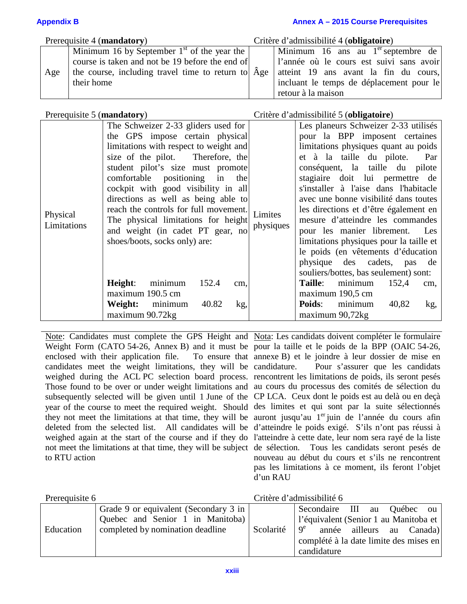### **Appendix B Annex A – 2015 Course Prerequisites**

| Prerequisite 4 (mandatory) |                                                             | Critère d'admissibilité 4 (obligatoire) |                                          |  |
|----------------------------|-------------------------------------------------------------|-----------------------------------------|------------------------------------------|--|
|                            | Minimum 16 by September $1st$ of the year the $\vert$       |                                         | Minimum 16 ans au $1er$ septembre de     |  |
|                            | course is taken and not be 19 before the end of             |                                         | l'année où le cours est suivi sans avoir |  |
| Age                        | the course, including travel time to return to $\hat{A}$ ge |                                         | atteint 19 ans avant la fin du cours,    |  |
|                            | their home                                                  |                                         | incluant le temps de déplacement pour le |  |
|                            |                                                             |                                         | retour à la maison                       |  |

Prerequisite 5 (**mandatory**) Critère d'admissibilité 5 (**obligatoire**)

|                         | The Schweizer 2-33 gliders used for              | Les planeurs Schweizer 2-33 utilisés    |
|-------------------------|--------------------------------------------------|-----------------------------------------|
|                         | the GPS impose certain physical                  | pour la BPP imposent certaines          |
|                         | limitations with respect to weight and           | limitations physiques quant au poids    |
|                         | size of the pilot. Therefore, the                | et à la taille du pilote.<br>Par        |
|                         | student pilot's size must promote                | conséquent, la taille du pilote         |
|                         | comfortable positioning in<br>the                | stagiaire doit lui permettre de         |
|                         | cockpit with good visibility in all              | s'installer à l'aise dans l'habitacle   |
|                         | directions as well as being able to              | avec une bonne visibilité dans toutes   |
|                         | reach the controls for full movement.<br>Limites | les directions et d'être également en   |
| Physical<br>Limitations | The physical limitations for height              | mesure d'atteindre les commandes        |
|                         | physiques<br>and weight (in cadet PT gear, no    | pour les manier librement. Les          |
|                         | shoes/boots, socks only) are:                    | limitations physiques pour la taille et |
|                         |                                                  | le poids (en vêtements d'éducation      |
|                         |                                                  | physique des cadets, pas<br>de          |
|                         |                                                  | souliers/bottes, bas seulement) sont:   |
|                         | minimum<br>Height:<br>152.4<br>cm.               | Taille:<br>minimum<br>152,4<br>cm,      |
|                         | maximum 190.5 cm                                 | maximum 190,5 cm                        |
|                         | 40.82<br>Weight:<br>minimum<br>kg,               | Poids:<br>minimum<br>40,82<br>kg,       |
|                         | maximum 90.72kg                                  | maximum 90,72kg                         |

Note: Candidates must complete the GPS Height and Nota: Les candidats doivent compléter le formulaire Weight Form (CATO 54-26, Annex B) and it must be pour la taille et le poids de la BPP (OAIC 54-26, enclosed with their application file. candidates meet the weight limitations, they will be weighed during the ACL PC selection board process. rencontrent les limitations de poids, ils seront pesés Those found to be over or under weight limitations and au cours du processus des comités de sélection du subsequently selected will be given until 1 June of the CP LCA. Ceux dont le poids est au delà ou en deçà year of the course to meet the required weight. Should des limites et qui sont par la suite sélectionnés they not meet the limitations at that time, they will be auront jusqu'au 1<sup>er</sup> juin de l'année du cours afin deleted from the selected list. All candidates will be d'atteindre le poids exigé. S'ils n'ont pas réussi à weighed again at the start of the course and if they do l'atteindre à cette date, leur nom sera rayé de la liste not meet the limitations at that time, they will be subject de sélection. Tous les candidats seront pesés de to RTU action

To ensure that annexe B) et le joindre à leur dossier de mise en Pour s'assurer que les candidats nouveau au début du cours et s'ils ne rencontrent pas les limitations à ce moment, ils feront l'objet d'un RAU

| Prerequisite 6 |                                                                           | Critère d'admissibilité 6 |                                                                                   |  |
|----------------|---------------------------------------------------------------------------|---------------------------|-----------------------------------------------------------------------------------|--|
|                | Grade 9 or equivalent (Secondary 3 in<br>Quebec and Senior 1 in Manitoba) |                           | Secondaire III au<br>Québec<br><b>OU</b><br>l'équivalent (Senior 1 au Manitoba et |  |
| Education      | completed by nomination deadline                                          | Scolarité                 | $\theta^e$<br>année ailleurs au Canada)                                           |  |
|                |                                                                           |                           | complété à la date limite des mises en<br>candidature                             |  |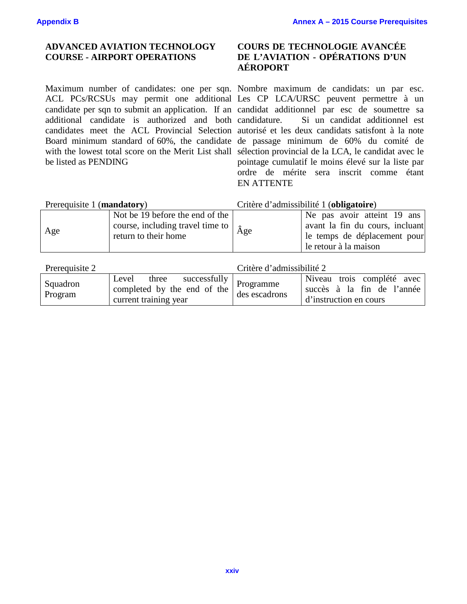## **ADVANCED AVIATION TECHNOLOGY COURSE - AIRPORT OPERATIONS**

additional candidate is authorized and both candidature. be listed as PENDING

# **COURS DE TECHNOLOGIE AVANCÉE DE L'AVIATION - OPÉRATIONS D'UN AÉROPORT**

Maximum number of candidates: one per sqn. Nombre maximum de candidats: un par esc. ACL PCs/RCSUs may permit one additional Les CP LCA/URSC peuvent permettre à un candidate per sqn to submit an application. If an candidat additionnel par esc de soumettre sa candidates meet the ACL Provincial Selection autorisé et les deux candidats satisfont à la note Board minimum standard of 60%, the candidate de passage minimum de 60% du comité de with the lowest total score on the Merit List shall sélection provincial de la LCA, le candidat avec le Si un candidat additionnel est pointage cumulatif le moins élevé sur la liste par ordre de mérite sera inscrit comme étant EN ATTENTE

| Prerequisite 1 (mandatory) |                                                                                                          | Critère d'admissibilité 1 (obligatoire) |                                                                                                                         |  |
|----------------------------|----------------------------------------------------------------------------------------------------------|-----------------------------------------|-------------------------------------------------------------------------------------------------------------------------|--|
| Age                        | Not be 19 before the end of the<br>course, including travel time to $\hat{A}$ ge<br>return to their home |                                         | Ne pas avoir atteint 19 ans<br>avant la fin du cours, incluant<br>le temps de déplacement pour<br>le retour à la maison |  |

| Prerequisite 2      | Critère d'admissibilité 2                                                                              |               |                                                                                    |  |
|---------------------|--------------------------------------------------------------------------------------------------------|---------------|------------------------------------------------------------------------------------|--|
| Squadron<br>Program | $\sim$ successfully   Programme<br>Level three<br>completed by the end of the<br>current training year | des escadrons | Niveau trois complété avec<br>succès à la fin de l'année<br>d'instruction en cours |  |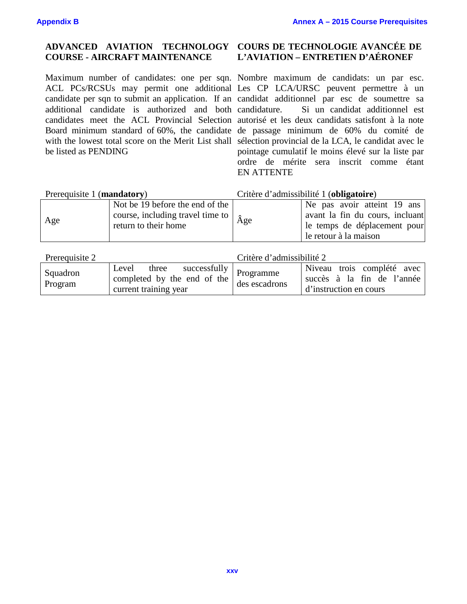### **ADVANCED AVIATION TECHNOLOGY COURSE - AIRCRAFT MAINTENANCE**

Maximum number of candidates: one per sqn. Nombre maximum de candidats: un par esc. ACL PCs/RCSUs may permit one additional Les CP LCA/URSC peuvent permettre à un candidate per sqn to submit an application. If an candidat additionnel par esc de soumettre sa additional candidate is authorized and both candidature. candidates meet the ACL Provincial Selection autorisé et les deux candidats satisfont à la note Board minimum standard of 60%, the candidate de passage minimum de 60% du comité de with the lowest total score on the Merit List shall sélection provincial de la LCA, le candidat avec le be listed as PENDING

# **COURS DE TECHNOLOGIE AVANCÉE DE L'AVIATION – ENTRETIEN D'AÉRONEF**

Si un candidat additionnel est pointage cumulatif le moins élevé sur la liste par ordre de mérite sera inscrit comme étant EN ATTENTE

| Prerequisite 1 (mandatory) |                                                                                                          | Critère d'admissibilité 1 (obligatoire) |                                                                                                                         |
|----------------------------|----------------------------------------------------------------------------------------------------------|-----------------------------------------|-------------------------------------------------------------------------------------------------------------------------|
| Age                        | Not be 19 before the end of the<br>course, including travel time to $\hat{A}$ ge<br>return to their home |                                         | Ne pas avoir atteint 19 ans<br>avant la fin du cours, incluant<br>le temps de déplacement pour<br>le retour à la maison |

| Prerequisite 2      |                                                                                                 | Critère d'admissibilité 2 |                                                                                    |
|---------------------|-------------------------------------------------------------------------------------------------|---------------------------|------------------------------------------------------------------------------------|
| Squadron<br>Program | three successfully   Programme<br>Level<br>completed by the end of the<br>current training year | des escadrons             | Niveau trois complété avec<br>succès à la fin de l'année<br>d'instruction en cours |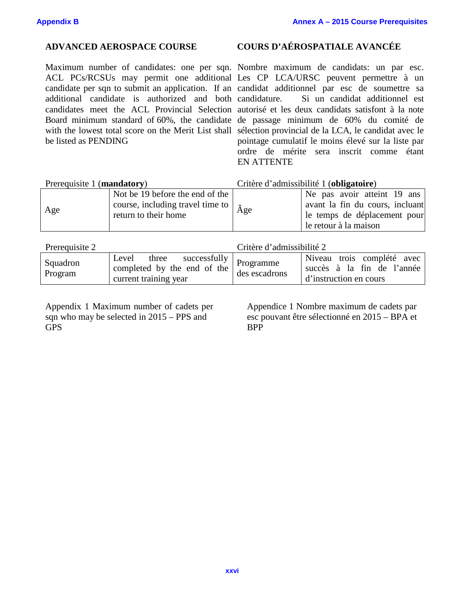Maximum number of candidates: one per sqn. Nombre maximum de candidats: un par esc. ACL PCs/RCSUs may permit one additional Les CP LCA/URSC peuvent permettre à un candidate per sqn to submit an application. If an candidat additionnel par esc de soumettre sa additional candidate is authorized and both candidature. candidates meet the ACL Provincial Selection autorisé et les deux candidats satisfont à la note Board minimum standard of 60%, the candidate de passage minimum de 60% du comité de with the lowest total score on the Merit List shall sélection provincial de la LCA, le candidat avec le be listed as PENDING

## **ADVANCED AEROSPACE COURSE COURS D'AÉROSPATIALE AVANCÉE**

Si un candidat additionnel est pointage cumulatif le moins élevé sur la liste par ordre de mérite sera inscrit comme étant EN ATTENTE

### Prerequisite 1 (**mandatory**) Critère d'admissibilité 1 (**obligatoire**)

| Age | Not be 19 before the end of the<br>course, including travel time to $\hat{A}$ ge | Ne pas avoir atteint 19 ans<br>avant la fin du cours, incluant |
|-----|----------------------------------------------------------------------------------|----------------------------------------------------------------|
|     | return to their home                                                             | le temps de déplacement pour                                   |
|     |                                                                                  | le retour à la maison                                          |

| Prerequisite 2      | Critère d'admissibilité 2                                                                       |               |                                                                                    |  |
|---------------------|-------------------------------------------------------------------------------------------------|---------------|------------------------------------------------------------------------------------|--|
| Squadron<br>Program | three successfully   Programme<br>Level<br>completed by the end of the<br>current training year | des escadrons | Niveau trois complété avec<br>succès à la fin de l'année<br>d'instruction en cours |  |

Appendix 1 Maximum number of cadets per sqn who may be selected in 2015 – PPS and GPS

Appendice 1 Nombre maximum de cadets par esc pouvant être sélectionné en 2015 – BPA et BPP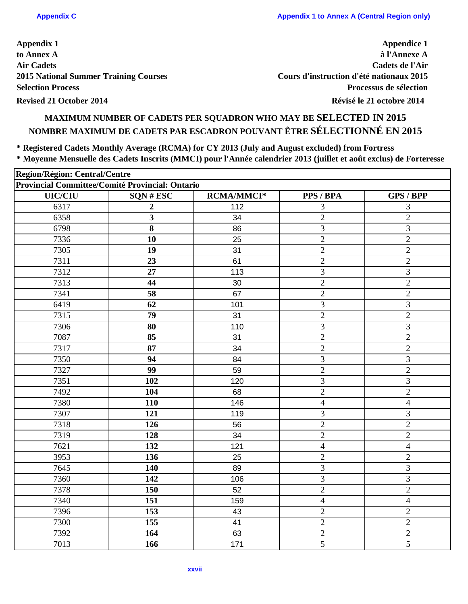**Appendice 1 à l'Annexe A Cadets de l'Air Cours d'instruction d'été nationaux 2015 Processus de sélection**

# **MAXIMUM NUMBER OF CADETS PER SQUADRON WHO MAY BE SELECTED IN 2015 NOMBRE MAXIMUM DE CADETS PAR ESCADRON POUVANT ÊTRE SÉLECTIONNÉ EN 2015**

**\* Registered Cadets Monthly Average (RCMA) for CY 2013 (July and August excluded) from Fortress \* Moyenne Mensuelle des Cadets Inscrits (MMCI) pour l'Année calendrier 2013 (juillet et août exclus) de Forteresse**

| Region/Région: Central/Centre                   |                  |                   |                |                          |
|-------------------------------------------------|------------------|-------------------|----------------|--------------------------|
| Provincial Committee/Comité Provincial: Ontario |                  |                   |                |                          |
| <b>UIC/CIU</b>                                  | SQN#ESC          | <b>RCMA/MMCI*</b> | PPS / BPA      | <b>GPS / BPP</b>         |
| 6317                                            | $\boldsymbol{2}$ | 112               | 3              | 3                        |
| 6358                                            | 3                | 34                | $\mathbf{2}$   | $\overline{c}$           |
| 6798                                            | 8                | 86                | 3              | 3                        |
| 7336                                            | 10               | 25                | $\overline{2}$ | $\sqrt{2}$               |
| 7305                                            | 19               | 31                | $\overline{2}$ | $\overline{2}$           |
| 7311                                            | 23               | 61                | $\overline{2}$ | $\overline{2}$           |
| 7312                                            | 27               | 113               | 3              | 3                        |
| 7313                                            | 44               | 30                | $\overline{2}$ | $\overline{2}$           |
| 7341                                            | 58               | 67                | $\overline{2}$ | $\overline{2}$           |
| 6419                                            | 62               | 101               | 3              | 3                        |
| 7315                                            | 79               | 31                | $\mathbf{2}$   | $\overline{2}$           |
| 7306                                            | 80               | 110               | $\mathfrak{Z}$ | 3                        |
| 7087                                            | 85               | 31                | $\overline{2}$ | $\overline{2}$           |
| 7317                                            | 87               | 34                | $\overline{2}$ | $\mathbf{2}$             |
| 7350                                            | 94               | 84                | 3              | 3                        |
| 7327                                            | 99               | 59                | $\overline{2}$ | $\overline{2}$           |
| 7351                                            | 102              | 120               | 3              | 3                        |
| 7492                                            | 104              | 68                | $\overline{2}$ | $\overline{2}$           |
| 7380                                            | 110              | 146               | $\overline{4}$ | $\overline{\mathcal{A}}$ |
| 7307                                            | 121              | 119               | 3              | 3                        |
| 7318                                            | 126              | 56                | $\overline{2}$ | $\overline{2}$           |
| 7319                                            | 128              | 34                | $\mathbf{2}$   | $\overline{c}$           |
| 7621                                            | 132              | 121               | $\overline{4}$ | $\overline{\mathcal{A}}$ |
| 3953                                            | 136              | 25                | $\overline{2}$ | $\overline{c}$           |
| 7645                                            | 140              | 89                | 3              | 3                        |
| 7360                                            | 142              | 106               | 3              | 3                        |
| 7378                                            | 150              | 52                | $\overline{2}$ | $\overline{2}$           |
| 7340                                            | 151              | 159               | $\overline{4}$ | $\overline{4}$           |
| 7396                                            | 153              | 43                | $\overline{2}$ | $\overline{2}$           |
| 7300                                            | 155              | 41                | $\overline{2}$ | $\overline{2}$           |
| 7392                                            | 164              | 63                | $\overline{2}$ | $\overline{2}$           |
| 7013                                            | 166              | 171               | $\mathfrak{H}$ | 5                        |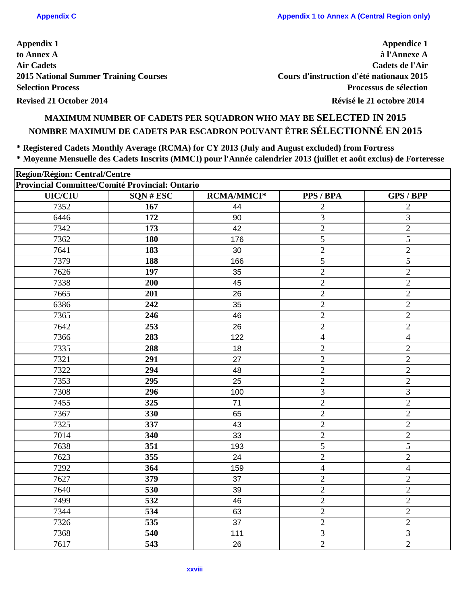**Appendice 1 à l'Annexe A Cadets de l'Air Cours d'instruction d'été nationaux 2015 Processus de sélection**

# **MAXIMUM NUMBER OF CADETS PER SQUADRON WHO MAY BE SELECTED IN 2015 NOMBRE MAXIMUM DE CADETS PAR ESCADRON POUVANT ÊTRE SÉLECTIONNÉ EN 2015**

**\* Registered Cadets Monthly Average (RCMA) for CY 2013 (July and August excluded) from Fortress \* Moyenne Mensuelle des Cadets Inscrits (MMCI) pour l'Année calendrier 2013 (juillet et août exclus) de Forteresse**

| Region/Région: Central/Centre<br>Provincial Committee/Comité Provincial: Ontario |     |     |                |                |  |  |
|----------------------------------------------------------------------------------|-----|-----|----------------|----------------|--|--|
|                                                                                  |     |     |                |                |  |  |
| 7352                                                                             | 167 | 44  | $\overline{2}$ | $\overline{2}$ |  |  |
| 6446                                                                             | 172 | 90  | 3              | 3              |  |  |
| 7342                                                                             | 173 | 42  | $\overline{2}$ | $\overline{2}$ |  |  |
| 7362                                                                             | 180 | 176 | 5              | 5              |  |  |
| 7641                                                                             | 183 | 30  | $\mathbf{2}$   | $\overline{2}$ |  |  |
| 7379                                                                             | 188 | 166 | 5              | 5              |  |  |
| 7626                                                                             | 197 | 35  | $\sqrt{2}$     | $\overline{c}$ |  |  |
| 7338                                                                             | 200 | 45  | $\sqrt{2}$     | $\overline{2}$ |  |  |
| 7665                                                                             | 201 | 26  | $\overline{2}$ | $\overline{2}$ |  |  |
| 6386                                                                             | 242 | 35  | $\overline{2}$ | $\overline{c}$ |  |  |
| 7365                                                                             | 246 | 46  | $\sqrt{2}$     | $\overline{c}$ |  |  |
| 7642                                                                             | 253 | 26  | $\mathbf{2}$   | $\overline{2}$ |  |  |
| 7366                                                                             | 283 | 122 | $\overline{4}$ | $\overline{4}$ |  |  |
| 7335                                                                             | 288 | 18  | $\overline{2}$ | $\overline{c}$ |  |  |
| 7321                                                                             | 291 | 27  | $\mathbf{2}$   | $\sqrt{2}$     |  |  |
| 7322                                                                             | 294 | 48  | $\overline{2}$ | $\overline{2}$ |  |  |
| 7353                                                                             | 295 | 25  | $\sqrt{2}$     | $\sqrt{2}$     |  |  |
| 7308                                                                             | 296 | 100 | 3              | 3              |  |  |
| 7455                                                                             | 325 | 71  | $\mathbf{2}$   | $\overline{2}$ |  |  |
| 7367                                                                             | 330 | 65  | $\sqrt{2}$     | $\overline{2}$ |  |  |
| 7325                                                                             | 337 | 43  | $\sqrt{2}$     | $\overline{2}$ |  |  |
| 7014                                                                             | 340 | 33  | $\sqrt{2}$     | $\overline{c}$ |  |  |
| 7638                                                                             | 351 | 193 | 5              | 5              |  |  |
| 7623                                                                             | 355 | 24  | $\sqrt{2}$     | $\overline{2}$ |  |  |
| 7292                                                                             | 364 | 159 | 4              | 4              |  |  |
| 7627                                                                             | 379 | 37  | $\overline{2}$ | $\overline{c}$ |  |  |
| 7640                                                                             | 530 | 39  | $\overline{2}$ | $\overline{2}$ |  |  |
| 7499                                                                             | 532 | 46  | $\sqrt{2}$     | $\mathbf{2}$   |  |  |
| 7344                                                                             | 534 | 63  | $\overline{2}$ | $\overline{2}$ |  |  |
| 7326                                                                             | 535 | 37  | $\overline{2}$ | $\overline{2}$ |  |  |
| 7368                                                                             | 540 | 111 | $\mathfrak{Z}$ | 3              |  |  |
| 7617                                                                             | 543 | 26  | $\overline{2}$ | $\overline{2}$ |  |  |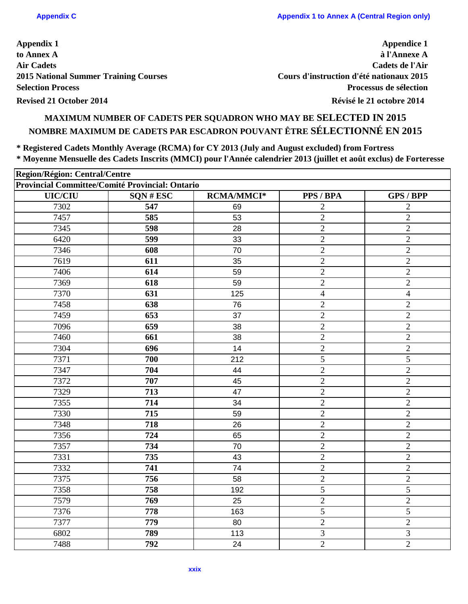**Appendice 1 à l'Annexe A Cadets de l'Air Cours d'instruction d'été nationaux 2015 Processus de sélection**

# **MAXIMUM NUMBER OF CADETS PER SQUADRON WHO MAY BE SELECTED IN 2015 NOMBRE MAXIMUM DE CADETS PAR ESCADRON POUVANT ÊTRE SÉLECTIONNÉ EN 2015**

**\* Registered Cadets Monthly Average (RCMA) for CY 2013 (July and August excluded) from Fortress \* Moyenne Mensuelle des Cadets Inscrits (MMCI) pour l'Année calendrier 2013 (juillet et août exclus) de Forteresse**

| Region/Région: Central/Centre<br>Provincial Committee/Comité Provincial: Ontario |     |     |                |                |  |  |
|----------------------------------------------------------------------------------|-----|-----|----------------|----------------|--|--|
|                                                                                  |     |     |                |                |  |  |
| 7302                                                                             | 547 | 69  | $\overline{2}$ | $\overline{2}$ |  |  |
| 7457                                                                             | 585 | 53  | $\sqrt{2}$     | $\overline{2}$ |  |  |
| 7345                                                                             | 598 | 28  | $\overline{2}$ | $\mathbf{2}$   |  |  |
| 6420                                                                             | 599 | 33  | $\sqrt{2}$     | $\sqrt{2}$     |  |  |
| 7346                                                                             | 608 | 70  | $\mathbf{2}$   | $\mathbf{2}$   |  |  |
| 7619                                                                             | 611 | 35  | $\overline{2}$ | $\overline{2}$ |  |  |
| 7406                                                                             | 614 | 59  | $\sqrt{2}$     | $\overline{c}$ |  |  |
| 7369                                                                             | 618 | 59  | $\sqrt{2}$     | $\overline{2}$ |  |  |
| 7370                                                                             | 631 | 125 | $\overline{4}$ | 4              |  |  |
| 7458                                                                             | 638 | 76  | $\overline{2}$ | $\overline{c}$ |  |  |
| 7459                                                                             | 653 | 37  | $\sqrt{2}$     | $\overline{c}$ |  |  |
| 7096                                                                             | 659 | 38  | $\sqrt{2}$     | $\overline{2}$ |  |  |
| 7460                                                                             | 661 | 38  | $\mathbf{2}$   | $\overline{2}$ |  |  |
| 7304                                                                             | 696 | 14  | $\sqrt{2}$     | $\mathbf{2}$   |  |  |
| 7371                                                                             | 700 | 212 | 5              | 5              |  |  |
| 7347                                                                             | 704 | 44  | $\overline{2}$ | $\overline{2}$ |  |  |
| 7372                                                                             | 707 | 45  | $\sqrt{2}$     | $\sqrt{2}$     |  |  |
| 7329                                                                             | 713 | 47  | $\mathbf{2}$   | $\overline{2}$ |  |  |
| 7355                                                                             | 714 | 34  | $\mathbf{2}$   | $\sqrt{2}$     |  |  |
| 7330                                                                             | 715 | 59  | $\sqrt{2}$     | $\overline{2}$ |  |  |
| 7348                                                                             | 718 | 26  | $\sqrt{2}$     | $\overline{2}$ |  |  |
| 7356                                                                             | 724 | 65  | $\sqrt{2}$     | $\overline{2}$ |  |  |
| 7357                                                                             | 734 | 70  | $\overline{2}$ | $\overline{2}$ |  |  |
| 7331                                                                             | 735 | 43  | $\sqrt{2}$     | $\overline{2}$ |  |  |
| 7332                                                                             | 741 | 74  | $\mathbf{2}$   | $\overline{c}$ |  |  |
| 7375                                                                             | 756 | 58  | $\overline{2}$ | $\overline{c}$ |  |  |
| 7358                                                                             | 758 | 192 | 5              | 5              |  |  |
| 7579                                                                             | 769 | 25  | $\sqrt{2}$     | $\mathbf{2}$   |  |  |
| 7376                                                                             | 778 | 163 | 5              | 5              |  |  |
| 7377                                                                             | 779 | 80  | $\overline{2}$ | $\overline{2}$ |  |  |
| 6802                                                                             | 789 | 113 | 3              | 3              |  |  |
| 7488                                                                             | 792 | 24  | $\mathbf{2}$   | $\overline{2}$ |  |  |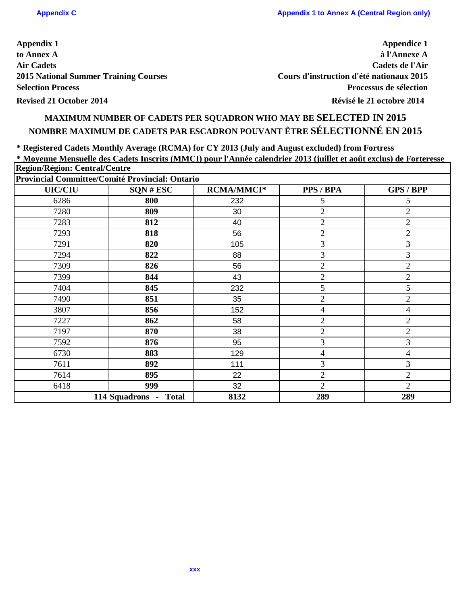**Appendice 1 à l'Annexe A Cadets de l'Air Cours d'instruction d'été nationaux 2015 Processus de sélection**

# **MAXIMUM NUMBER OF CADETS PER SQUADRON WHO MAY BE SELECTED IN 2015 NOMBRE MAXIMUM DE CADETS PAR ESCADRON POUVANT ÊTRE SÉLECTIONNÉ EN 2015**

**\* Registered Cadets Monthly Average (RCMA) for CY 2013 (July and August excluded) from Fortress \* Moyenne Mensuelle des Cadets Inscrits (MMCI) pour l'Année calendrier 2013 (juillet et août exclus) de Forteresse Region/Région: Central/Centre**

| <b>UIC/CIU</b> | $SQN \# ESC$          | <b>RCMA/MMCI*</b> | PPS / BPA      | <b>GPS / BPP</b>         |
|----------------|-----------------------|-------------------|----------------|--------------------------|
| 6286           | 800                   | 232               | 5              | 5                        |
| 7280           | 809                   | 30                | $\overline{2}$ | $\overline{2}$           |
| 7283           | 812                   | 40                | $\overline{2}$ | $\overline{2}$           |
| 7293           | 818                   | 56                | $\overline{2}$ | $\overline{2}$           |
| 7291           | 820                   | 105               | 3              | 3                        |
| 7294           | 822                   | 88                | 3              | 3                        |
| 7309           | 826                   | 56                | $\overline{2}$ | $\overline{2}$           |
| 7399           | 844                   | 43                | $\overline{2}$ | $\overline{2}$           |
| 7404           | 845                   | 232               | 5              | 5                        |
| 7490           | 851                   | 35                | $\overline{2}$ | $\overline{2}$           |
| 3807           | 856                   | 152               | $\overline{4}$ | $\overline{\mathcal{A}}$ |
| 7227           | 862                   | 58                | $\mathfrak{2}$ | $\overline{2}$           |
| 7197           | 870                   | 38                | $\overline{2}$ | $\overline{2}$           |
| 7592           | 876                   | 95                | $\mathfrak{Z}$ | 3                        |
| 6730           | 883                   | 129               | 4              | 4                        |
| 7611           | 892                   | 111               | 3              | 3                        |
| 7614           | 895                   | 22                | $\overline{2}$ | $\overline{2}$           |
| 6418           | 999                   | 32                | $\overline{2}$ | $\overline{2}$           |
|                | 114 Squadrons - Total | 8132              | 289            | 289                      |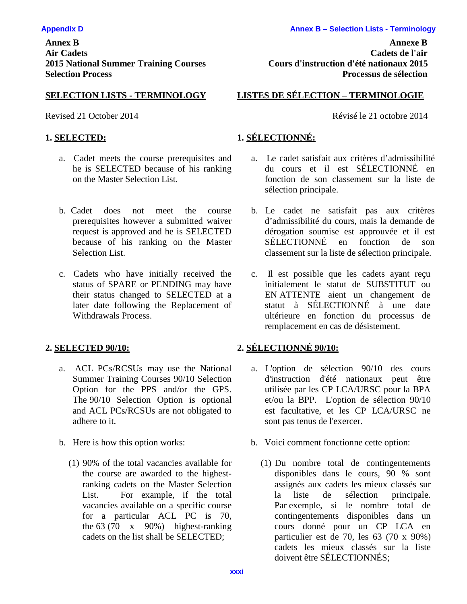**Annex B Annexe B Air Cadets Cadets de l'air 2015 National Summer Training Courses Cours d'instruction d'été nationaux 2015 Selection Process Processus de sélection**

- a. Cadet meets the course prerequisites and he is SELECTED because of his ranking on the Master Selection List.
- b. Cadet does not meet the course prerequisites however a submitted waiver request is approved and he is SELECTED because of his ranking on the Master Selection List.
- c. Cadets who have initially received the status of SPARE or PENDING may have their status changed to SELECTED at a later date following the Replacement of Withdrawals Process.

- a. ACL PCs/RCSUs may use the National Summer Training Courses 90/10 Selection Option for the PPS and/or the GPS. The 90/10 Selection Option is optional and ACL PCs/RCSUs are not obligated to adhere to it.
- - (1) 90% of the total vacancies available for the course are awarded to the highestranking cadets on the Master Selection List. For example, if the total vacancies available on a specific course for a particular ACL PC is 70, the  $63(70 \times 90\%)$  highest-ranking cadets on the list shall be SELECTED;

# **SELECTION LISTS - TERMINOLOGY LISTES DE SÉLECTION – TERMINOLOGIE**

Revised 21 October 2014 Révisé le 21 octobre 2014

# **1. SELECTED: 1. SÉLECTIONNÉ:**

- a. Le cadet satisfait aux critères d'admissibilité du cours et il est SÉLECTIONNÉ en fonction de son classement sur la liste de sélection principale.
- b. Le cadet ne satisfait pas aux critères d'admissibilité du cours, mais la demande de dérogation soumise est approuvée et il est SÉLECTIONNÉ en fonction de son classement sur la liste de sélection principale.
- c. Il est possible que les cadets ayant reçu initialement le statut de SUBSTITUT ou EN ATTENTE aient un changement de statut à SÉLECTIONNÉ à une date ultérieure en fonction du processus de remplacement en cas de désistement.

# **2. SELECTED 90/10: 2. SÉLECTIONNÉ 90/10:**

- a. L'option de sélection 90/10 des cours d'instruction d'été nationaux peut être utilisée par les CP LCA/URSC pour la BPA et/ou la BPP. L'option de sélection 90/10 est facultative, et les CP LCA/URSC ne sont pas tenus de l'exercer.
- b. Here is how this option works: b. Voici comment fonctionne cette option:
	- (1) Du nombre total de contingentements disponibles dans le cours, 90 % sont assignés aux cadets les mieux classés sur la liste de sélection principale. Par exemple, si le nombre total de contingentements disponibles dans un cours donné pour un CP LCA en particulier est de 70, les 63 (70 x 90%) cadets les mieux classés sur la liste doivent être SÉLECTIONNÉS;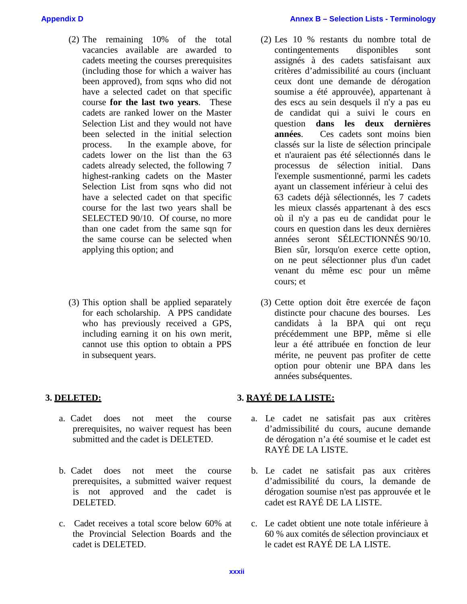- (2) The remaining 10% of the total vacancies available are awarded to cadets meeting the courses prerequisites (including those for which a waiver has been approved), from sqns who did not have a selected cadet on that specific course **for the last two years**. These cadets are ranked lower on the Master Selection List and they would not have been selected in the initial selection process. In the example above, for cadets lower on the list than the 63 cadets already selected, the following 7 highest-ranking cadets on the Master Selection List from sqns who did not have a selected cadet on that specific course for the last two years shall be SELECTED 90/10. Of course, no more than one cadet from the same sqn for the same course can be selected when applying this option; and
- (3) This option shall be applied separately for each scholarship. A PPS candidate who has previously received a GPS, including earning it on his own merit, cannot use this option to obtain a PPS in subsequent years.

- a. Cadet does not meet the course prerequisites, no waiver request has been submitted and the cadet is DELETED.
- b. Cadet does not meet the course prerequisites, a submitted waiver request is not approved and the cadet is DELETED.
- c. Cadet receives a total score below 60% at the Provincial Selection Boards and the cadet is DELETED.
- (2) Les 10 % restants du nombre total de contingentements disponibles sont assignés à des cadets satisfaisant aux critères d'admissibilité au cours (incluant ceux dont une demande de dérogation soumise a été approuvée), appartenant à des escs au sein desquels il n'y a pas eu de candidat qui a suivi le cours en question **dans les deux dernières années**. Ces cadets sont moins bien classés sur la liste de sélection principale et n'auraient pas été sélectionnés dans le processus de sélection initial. Dans l'exemple susmentionné, parmi les cadets ayant un classement inférieur à celui des 63 cadets déjà sélectionnés, les 7 cadets les mieux classés appartenant à des escs où il n'y a pas eu de candidat pour le cours en question dans les deux dernières années seront SÉLECTIONNÉS 90/10. Bien sûr, lorsqu'on exerce cette option, on ne peut sélectionner plus d'un cadet venant du même esc pour un même cours; et
- (3) Cette option doit être exercée de façon distincte pour chacune des bourses. Les candidats à la BPA qui ont reçu précédemment une BPP, même si elle leur a été attribuée en fonction de leur mérite, ne peuvent pas profiter de cette option pour obtenir une BPA dans les années subséquentes.

# **3. DELETED: 3. RAYÉ DE LA LISTE:**

- a. Le cadet ne satisfait pas aux critères d'admissibilité du cours, aucune demande de dérogation n'a été soumise et le cadet est RAYÉ DE LA LISTE.
- b. Le cadet ne satisfait pas aux critères d'admissibilité du cours, la demande de dérogation soumise n'est pas approuvée et le cadet est RAYÉ DE LA LISTE.
- c. Le cadet obtient une note totale inférieure à 60 % aux comités de sélection provinciaux et le cadet est RAYÉ DE LA LISTE.